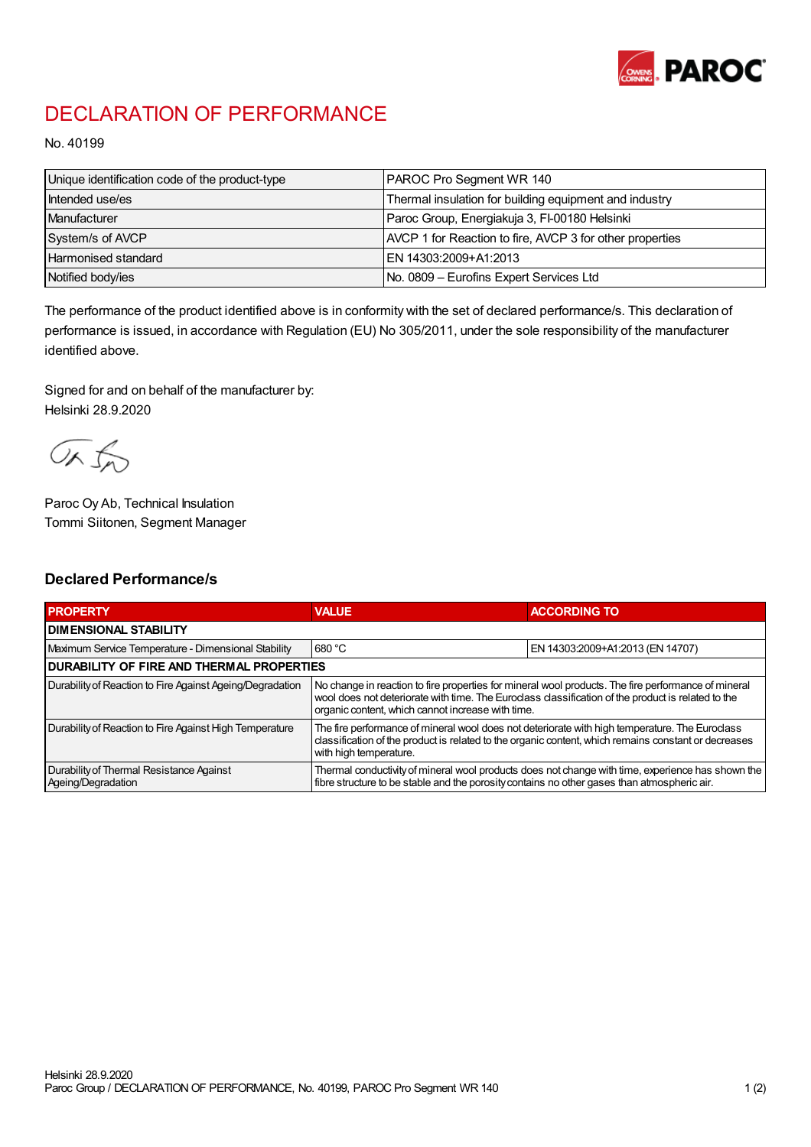

## DECLARATION OF PERFORMANCE

No. 40199

| Unique identification code of the product-type | PAROC Pro Segment WR 140                                 |
|------------------------------------------------|----------------------------------------------------------|
| Intended use/es                                | Thermal insulation for building equipment and industry   |
| Manufacturer                                   | Paroc Group, Energiakuja 3, FI-00180 Helsinki            |
| System/s of AVCP                               | AVCP 1 for Reaction to fire, AVCP 3 for other properties |
| <b>Harmonised standard</b>                     | EN 14303:2009+A1:2013                                    |
| Notified body/ies                              | No. 0809 – Eurofins Expert Services Ltd                  |

The performance of the product identified above is in conformity with the set of declared performance/s. This declaration of performance is issued, in accordance with Regulation (EU) No 305/2011, under the sole responsibility of the manufacturer identified above.

Signed for and on behalf of the manufacturer by: Helsinki 28.9.2020

ORJO

Paroc Oy Ab, Technical Insulation Tommi Siitonen, Segment Manager

## Declared Performance/s

| <b>PROPERTY</b>                                                | <b>VALUE</b>                                                                                                                                                                                                                                                   | <b>ACCORDING TO</b>              |  |
|----------------------------------------------------------------|----------------------------------------------------------------------------------------------------------------------------------------------------------------------------------------------------------------------------------------------------------------|----------------------------------|--|
| <b>I DIMENSIONAL STABILITY</b>                                 |                                                                                                                                                                                                                                                                |                                  |  |
| Maximum Service Temperature - Dimensional Stability            | 680 °C                                                                                                                                                                                                                                                         | EN 14303:2009+A1:2013 (EN 14707) |  |
| <b>DURABILITY OF FIRE AND THERMAL PROPERTIES</b>               |                                                                                                                                                                                                                                                                |                                  |  |
| Durability of Reaction to Fire Against Ageing/Degradation      | No change in reaction to fire properties for mineral wool products. The fire performance of mineral<br>wool does not deteriorate with time. The Euroclass classification of the product is related to the<br>organic content, which cannot increase with time. |                                  |  |
| Durability of Reaction to Fire Against High Temperature        | The fire performance of mineral wool does not deteriorate with high temperature. The Euroclass<br>classification of the product is related to the organic content, which remains constant or decreases<br>with high temperature.                               |                                  |  |
| Durability of Thermal Resistance Against<br>Ageing/Degradation | Thermal conductivity of mineral wool products does not change with time, experience has shown the<br>fibre structure to be stable and the porosity contains no other gases than atmospheric air.                                                               |                                  |  |